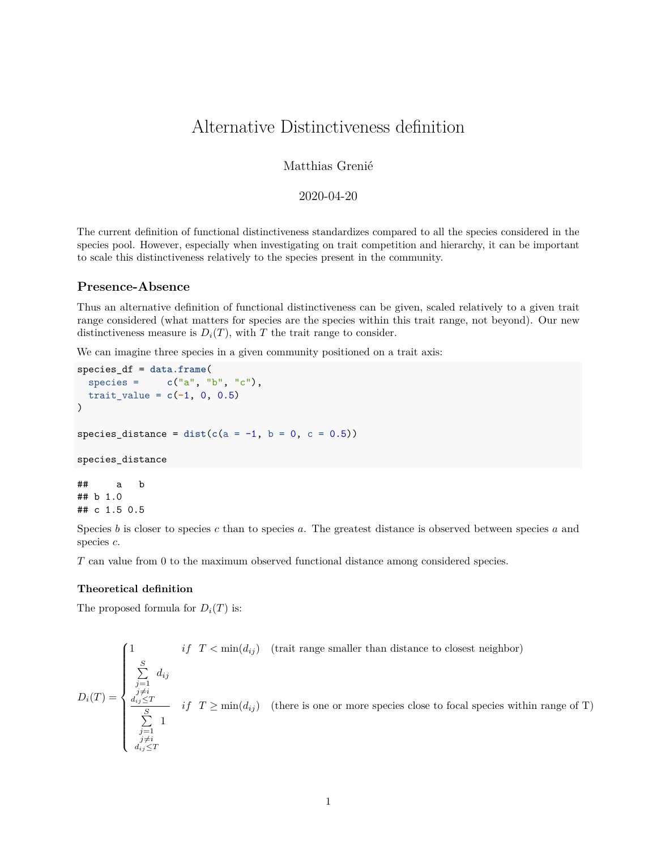# Alternative Distinctiveness definition

# Matthias Grenié

# 2020-04-20

The current definition of functional distinctiveness standardizes compared to all the species considered in the species pool. However, especially when investigating on trait competition and hierarchy, it can be important to scale this distinctiveness relatively to the species present in the community.

## **Presence-Absence**

Thus an alternative definition of functional distinctiveness can be given, scaled relatively to a given trait range considered (what matters for species are the species within this trait range, not beyond). Our new distinctiveness measure is  $D_i(T)$ , with *T* the trait range to consider.

We can imagine three species in a given community positioned on a trait axis:

```
species_df = data.frame(
 species = c("a", "b", "c"),
 \text{trait_value} = c(-1, 0, 0.5))
species_distance = dist(c(a = -1, b = 0, c = 0.5))species_distance
## a b
```
## b 1.0 ## c 1.5 0.5

Species *b* is closer to species *c* than to species *a*. The greatest distance is observed between species *a* and species *c*.

*T* can value from 0 to the maximum observed functional distance among considered species.

### **Theoretical definition**

The proposed formula for  $D_i(T)$  is:

$$
D_i(T) = \begin{cases} 1 & if \ T < \min(d_{ij}) \quad \text{(trait range smaller than distance to closest neighbor)} \\ \sum_{\substack{j=1 \ j \neq i}}^{S} d_{ij} & \\ \frac{d_{ij} \leq T}{\sum_{\substack{j=1 \ j \neq i}}^{S} 1} & if \ T \geq \min(d_{ij}) \quad \text{(there is one or more species close to focal species within range of T)} \\ \frac{1}{j \neq i} & \\ d_{ij} \leq T & \end{cases}
$$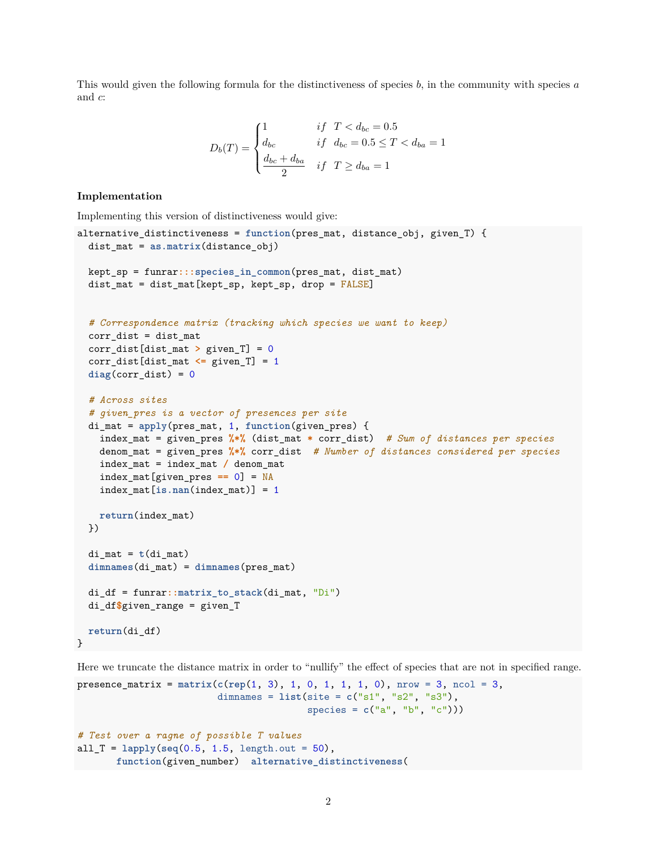This would given the following formula for the distinctiveness of species *b*, in the community with species *a* and *c*:

$$
D_b(T) = \begin{cases} 1 & \text{if } T < d_{bc} = 0.5 \\ d_{bc} & \text{if } d_{bc} = 0.5 \le T < d_{ba} = 1 \\ \frac{d_{bc} + d_{ba}}{2} & \text{if } T \ge d_{ba} = 1 \end{cases}
$$

#### **Implementation**

Implementing this version of distinctiveness would give:

```
alternative_distinctiveness = function(pres_mat, distance_obj, given_T) {
  dist_mat = as.matrix(distance_obj)
 kept_sp = funrar:::species_in_common(pres_mat, dist_mat)
  dist_mat = dist_mat[kept_sp, kept_sp, drop = FALSE]
  # Correspondence matrix (tracking which species we want to keep)
  corr\_dist = dist\_matcorr_dist[dist_mat > given_T] = 0
  corr_dist[dist_mat <= given_T] = 1
  diag(corr dist) = 0# Across sites
  # given_pres is a vector of presences per site
  di_mat = apply(pres_mat, 1, function(given_pres) {
   index_mat = given_pres %*% (dist_mat * corr_dist) # Sum of distances per species
   denom_mat = given_pres %*% corr_dist # Number of distances considered per species
   index_mat = index_mat / denom_mat
   index_mat[given_pres == 0] = NA
   index_mat[is.nan(index_mat)] = 1
   return(index_mat)
  })
  di\_mat = t(di\_mat)dimnames(di_mat) = dimnames(pres_mat)
 di_df = funrar::matrix_to_stack(di_mat, "Di")
  di_df$given_range = given_T
 return(di_df)
}
```
Here we truncate the distance matrix in order to "nullify" the effect of species that are not in specified range.

```
presence_matrix = matrix(c(rep(1, 3), 1, 0, 1, 1, 1, 0), nrow = 3, ncol = 3,
                         dimnames = list(site = c("s1", "s2", "s3"),
                                        species = c("a", "b", "c"))# Test over a ragne of possible T values
all_T = lapply(seq(0.5, 1.5, length.out = 50),
       function(given_number) alternative_distinctiveness(
```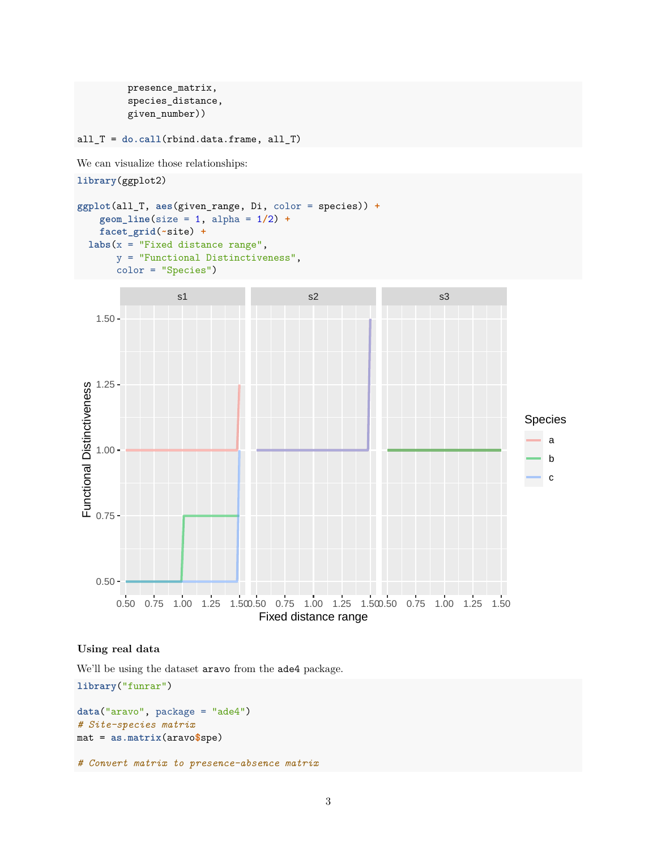```
presence_matrix,
species_distance,
given_number))
```
all\_T = **do.call**(rbind.data.frame, all\_T)

We can visualize those relationships:

```
library(ggplot2)
```

```
ggplot(all_T, aes(given_range, Di, color = species)) +
    geom_line(size = 1, alpha = 1/2) +
    facet_grid(~site) +
 \texttt{labels}(x = "Fixed distance range",y = "Functional Distinctiveness",
```


## **Using real data**

We'll be using the dataset aravo from the ade4 package.

```
library("funrar")
data("aravo", package = "ade4")
# Site-species matrix
mat = as.matrix(aravo$spe)
```

```
# Convert matrix to presence-absence matrix
```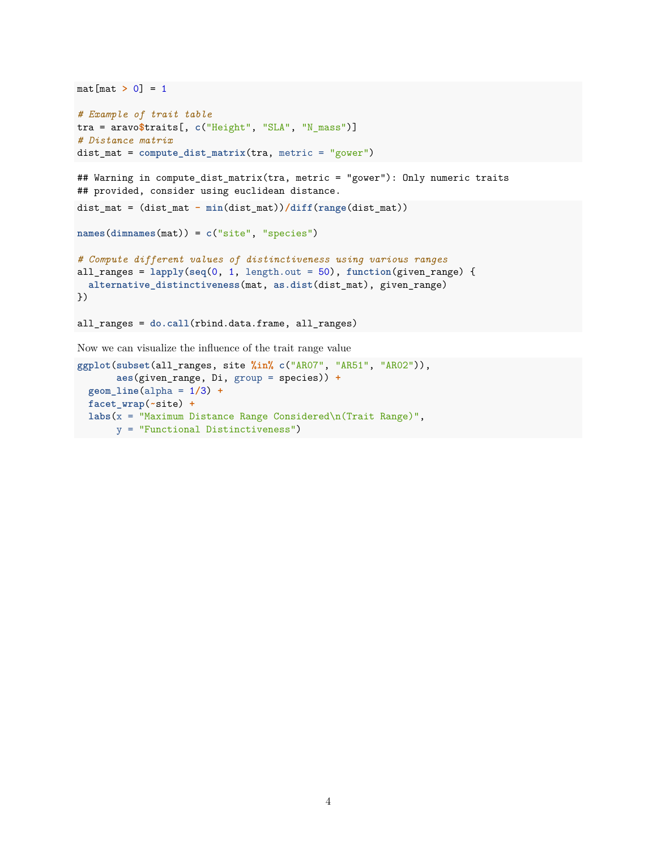```
mat[mat > 0] = 1# Example of trait table
tra = aravo$traits[, c("Height", "SLA", "N_mass")]
# Distance matrix
dist_mat = compute_dist_matrix(tra, metric = "gower")
## Warning in compute_dist_matrix(tra, metric = "gower"): Only numeric traits
## provided, consider using euclidean distance.
dist_mat = (dist_mat - min(dist_mat))/diff(range(dist_mat))
names(dimnames(mat)) = c("site", "species")
# Compute different values of distinctiveness using various ranges
all_ranges = lapply(seq(0, 1, length.out = 50), function(given_range) {
 alternative_distinctiveness(mat, as.dist(dist_mat), given_range)
})
all_ranges = do.call(rbind.data.frame, all_ranges)
Now we can visualize the influence of the trait range value
ggplot(subset(all_ranges, site %in% c("AR07", "AR51", "AR02")),
```

```
aes(given_range, Di, group = species)) +
geom_line(alpha = 1/3) +
facet_wrap(~site) +
labs(x = "Maximum Distance Range Considered\n(Trait Range)",
     y = "Functional Distinctiveness")
```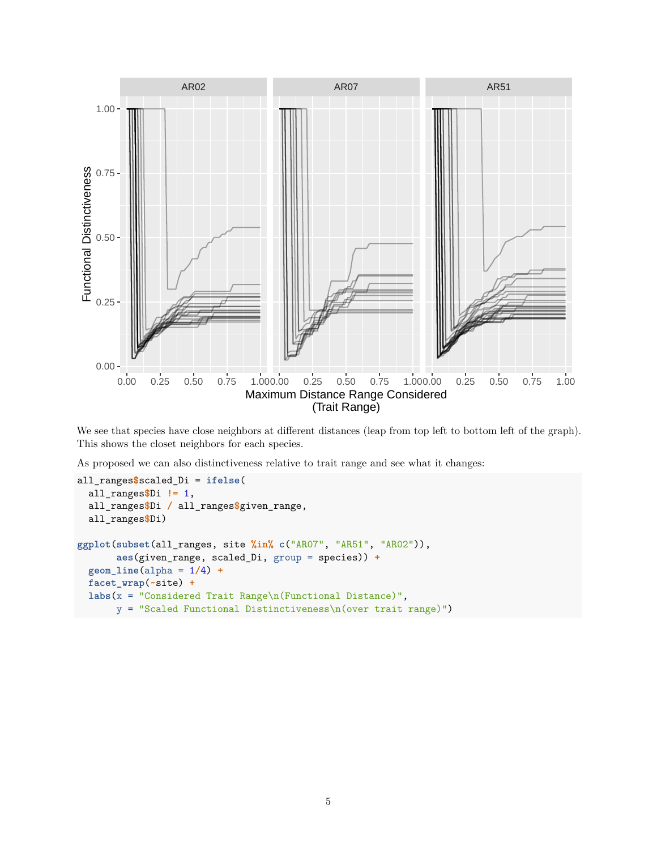

We see that species have close neighbors at different distances (leap from top left to bottom left of the graph). This shows the closet neighbors for each species.

As proposed we can also distinctiveness relative to trait range and see what it changes:

```
all_ranges$scaled_Di = ifelse(
  all_ranges$Di != 1,
  all_ranges$Di / all_ranges$given_range,
  all_ranges$Di)
ggplot(subset(all_ranges, site %in% c("AR07", "AR51", "AR02")),
       aes(given_range, scaled_Di, group = species)) +
  geom_line(alpha = 1/4) +
  facet_wrap(~site) +
  labs(x = "Considered Trait Range\n(Functional Distance)",
       y = "Scaled Functional Distinctiveness\n(over trait range)")
```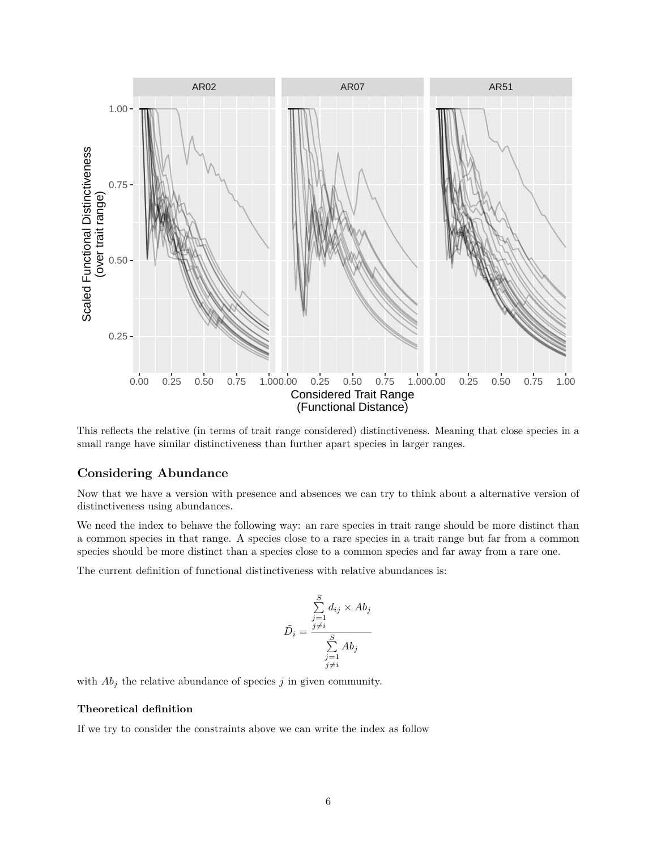

This reflects the relative (in terms of trait range considered) distinctiveness. Meaning that close species in a small range have similar distinctiveness than further apart species in larger ranges.

# **Considering Abundance**

Now that we have a version with presence and absences we can try to think about a alternative version of distinctiveness using abundances.

We need the index to behave the following way: an rare species in trait range should be more distinct than a common species in that range. A species close to a rare species in a trait range but far from a common species should be more distinct than a species close to a common species and far away from a rare one.

The current definition of functional distinctiveness with relative abundances is:

$$
\tilde{D}_i = \frac{\sum_{j=1}^S d_{ij} \times Ab_j}{\sum_{\substack{j=1 \ j \neq i}}^S Ab_j}
$$

with  $Ab_j$  the relative abundance of species  $j$  in given community.

## **Theoretical definition**

If we try to consider the constraints above we can write the index as follow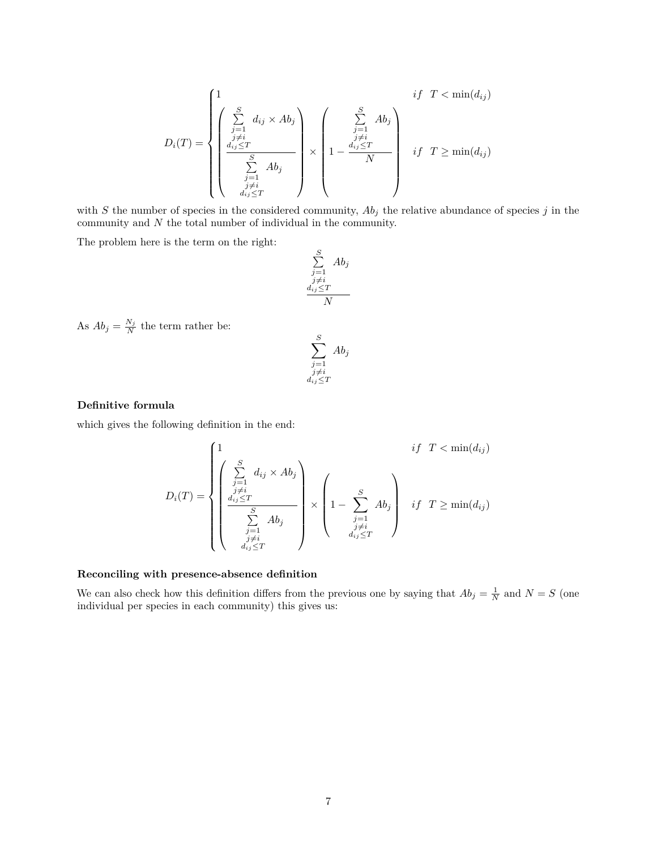$$
D_i(T) = \begin{cases} 1 & \text{if } T < \min(d_{ij}) \\ \begin{pmatrix} \sum\limits_{j=1}^{S} d_{ij} \times Ab_j \\ \frac{d_{ij} \leq T}{\sum\limits_{j=1}^{S} Ab_j} \\ \frac{1}{\sum\limits_{j=1}^{S} Ab_j} \\ \frac{1}{\sum\limits_{j \neq i}^{S} d_{ij} \leq T} \end{pmatrix} \times \begin{pmatrix} \sum\limits_{j=1}^{S} Ab_j \\ 1 - \frac{d_{ij} \leq T}{\sum\limits_{j \neq i}^{S} d_{ij}} \\ \frac{1}{\sum\limits_{j \neq i}^{S} d_{ij} \leq T} \end{pmatrix} & \text{if } T \geq \min(d_{ij}) \end{cases}
$$

with  $S$  the number of species in the considered community,  $Ab_j$  the relative abundance of species  $j$  in the community and *N* the total number of individual in the community.

The problem here is the term on the right:

$$
\sum_{\substack{j=1 \ j \neq i}}^{S} Ab_j
$$

$$
\frac{d_{ij} \leq T}{N}
$$

As  $Ab_j = \frac{N_j}{N}$  the term rather be:

$$
\sum_{\substack{j=1 \ j \neq i}}^{S} Ab_j
$$
  

$$
_{d_{ij} \leq T}^{j \neq i}
$$

#### **Definitive formula**

which gives the following definition in the end:

$$
D_i(T) = \begin{cases} 1 & \text{if } T < \min(d_{ij}) \\ \begin{pmatrix} \sum\limits_{j=1}^{S} d_{ij} \times Ab_j \\ \frac{d_{ij} \leq T}{\sum\limits_{j=1}^{S} Ab_j} \\ \frac{1}{j \neq i} \\ \frac{1}{d_{ij} \leq T} \end{pmatrix} \times \begin{pmatrix} s \\ 1 - \sum\limits_{\substack{j=1 \ j \neq i \\ d_{ij} \leq T}}^{S} Ab_j \end{pmatrix} & \text{if } T \geq \min(d_{ij}) \end{cases}
$$

## **Reconciling with presence-absence definition**

We can also check how this definition differs from the previous one by saying that  $Ab_j = \frac{1}{N}$  and  $N = S$  (one individual per species in each community) this gives us: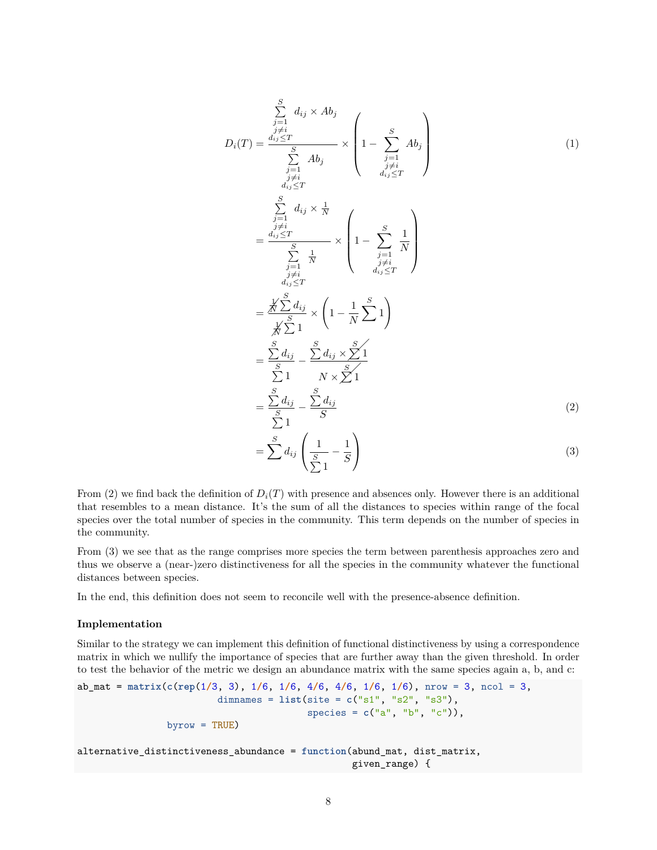<span id="page-7-1"></span><span id="page-7-0"></span>
$$
D_i(T) = \frac{\sum_{\substack{j=1 \ j \neq i}}^{S} d_{ij} \times Ab_j}{\sum_{\substack{j=1 \ j \neq i}}^{j \neq i} ab_j} \times \left(1 - \sum_{\substack{j=1 \ j \neq i}}^{S} Ab_j\right)
$$
\n
$$
= \frac{\sum_{\substack{j=1 \ j \neq i}}^{S} d_{ij} \times \frac{1}{N}}{\sum_{\substack{j=1 \ j \neq i}}^{j \neq i} x} \times \left(1 - \sum_{\substack{j=1 \ j \neq i}}^{S} \frac{1}{N}\right)
$$
\n
$$
= \frac{\sum_{\substack{j=1 \ j \neq i}}^{S} d_{ij} \times \frac{1}{N}}{\sum_{\substack{d_{ij} \leq T}}^{j \neq i}} \times \left(1 - \frac{1}{N} \sum_{j=1}^{S} 1\right)
$$
\n
$$
= \frac{\sum_{\substack{S \ j \neq i}}^{S} d_{ij}}{\sum_{\substack{S \ j \neq i}}^{S} x} \times \frac{1}{N} \times \frac{1}{N}
$$
\n
$$
= \frac{\sum_{\substack{S \ j \neq i}}^{S} d_{ij} \times \frac{S}{N} 1}{\sum_{\substack{S \ j \neq i}}^{S} x} \times \frac{1}{N}
$$
\n
$$
= \frac{\sum_{\substack{S \ j \neq i}}^{S} d_{ij}}{\sum_{\substack{S \ j \neq i}}^{S} x} \times \frac{1}{N}
$$
\n
$$
= \frac{\sum_{\substack{S \ j \neq i}}^{S} d_{ij}}{\sum_{\substack{S \ j \neq i}}^{S} x} \times \frac{1}{N}
$$
\n
$$
= \frac{\sum_{\substack{S \ j \neq i}}^{S} d_{ij}}{\sum_{\substack{S \ j \neq i}}^{S} x} \times \frac{1}{N}
$$
\n(2)

From [\(2\)](#page-7-0) we find back the definition of  $D_i(T)$  with presence and absences only. However there is an additional that resembles to a mean distance. It's the sum of all the distances to species within range of the focal species over the total number of species in the community. This term depends on the number of species in the community.

From [\(3\)](#page-7-1) we see that as the range comprises more species the term between parenthesis approaches zero and thus we observe a (near-)zero distinctiveness for all the species in the community whatever the functional distances between species.

In the end, this definition does not seem to reconcile well with the presence-absence definition.

#### **Implementation**

Similar to the strategy we can implement this definition of functional distinctiveness by using a correspondence matrix in which we nullify the importance of species that are further away than the given threshold. In order to test the behavior of the metric we design an abundance matrix with the same species again a, b, and c:

```
ab_mat = matrix(c(rep(1/3, 3), 1/6, 1/6, 4/6, 4/6, 1/6, 1/6), nrow = 3, ncol = 3,
                         dimnames = list(site = c("s1", "s2", "s3"),
                                         species = c("a", "b", "c")),
                byrow = TRUE)
alternative_distinctiveness_abundance = function(abund_mat, dist_matrix,
                                                 given_range) {
```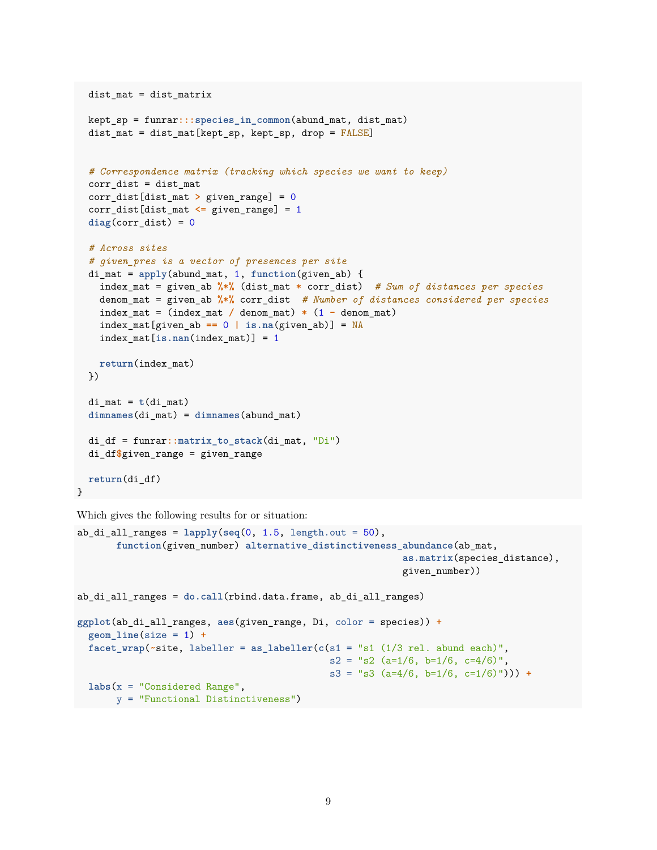```
dist_mat = dist_matrix
 kept_sp = funrar:::species_in_common(abund_mat, dist_mat)
  dist_mat = dist_mat[kept_sp, kept_sp, drop = FALSE]
  # Correspondence matrix (tracking which species we want to keep)
  corr dist = dist matcorr_dist[dist_mat > given_range] = 0
  corr_dist[dist_mat <= given_range] = 1
  diag(corr_dist) = 0
  # Across sites
  # given_pres is a vector of presences per site
  di_mat = apply(abund_mat, 1, function(given_ab) {
   index_mat = given_ab %*% (dist_mat * corr_dist) # Sum of distances per species
   denom_mat = given_ab %*% corr_dist # Number of distances considered per species
   index_mat = (index_mat / denom_mat) * (1 - denom_mat)
   index_mat[given_ab == 0 | is.na(given_ab)] = NA
   index_mat[is.nan(index_mat)] = 1
   return(index_mat)
 })
  di\_mat = t(di\_mat)dimnames(di_mat) = dimnames(abund_mat)
 di_df = funrar::matrix_to_stack(di_mat, "Di")
  di_df$given_range = given_range
 return(di_df)
}
```
Which gives the following results for or situation:

```
ab_di_all_ranges = lapply(seq(0, 1.5, length.out = 50),
       function(given_number) alternative_distinctiveness_abundance(ab_mat,
                                                          as.matrix(species_distance),
                                                           given_number))
ab_di_all_ranges = do.call(rbind.data.frame, ab_di_all_ranges)
ggplot(ab_di_all_ranges, aes(given_range, Di, color = species)) +
 geom_line(size = 1) +
 facet\_wrap(\sim site, labeller = as\_labeller(c(s1 = "s1 (1/3 rel. abund each)",s2 = "s2 (a=1/6, b=1/6, c=4/6)s3 = "s3 (a=4/6, b=1/6, c=1/6)"))) +
 labs(x = "Considered Range",
       y = "Functional Distinctiveness")
```